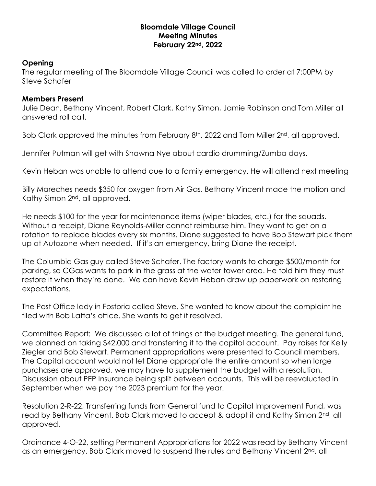## **Bloomdale Village Council Meeting Minutes February 22nd, 2022**

## **Opening**

The regular meeting of The Bloomdale Village Council was called to order at 7:00PM by Steve Schafer

## **Members Present**

Julie Dean, Bethany Vincent, Robert Clark, Kathy Simon, Jamie Robinson and Tom Miller all answered roll call.

Bob Clark approved the minutes from February 8<sup>th</sup>, 2022 and Tom Miller 2<sup>nd</sup>, all approved.

Jennifer Putman will get with Shawna Nye about cardio drumming/Zumba days.

Kevin Heban was unable to attend due to a family emergency. He will attend next meeting

Billy Mareches needs \$350 for oxygen from Air Gas. Bethany Vincent made the motion and Kathy Simon 2<sup>nd</sup>, all approved.

He needs \$100 for the year for maintenance items (wiper blades, etc.) for the squads. Without a receipt, Diane Reynolds-Miller cannot reimburse him. They want to get on a rotation to replace blades every six months. Diane suggested to have Bob Stewart pick them up at Autozone when needed. If it's an emergency, bring Diane the receipt.

The Columbia Gas guy called Steve Schafer. The factory wants to charge \$500/month for parking, so CGas wants to park in the grass at the water tower area. He told him they must restore it when they're done. We can have Kevin Heban draw up paperwork on restoring expectations.

The Post Office lady in Fostoria called Steve. She wanted to know about the complaint he filed with Bob Latta's office. She wants to get it resolved.

Committee Report: We discussed a lot of things at the budget meeting. The general fund, we planned on taking \$42,000 and transferring it to the capitol account. Pay raises for Kelly Ziegler and Bob Stewart. Permanent appropriations were presented to Council members. The Capital account would not let Diane appropriate the entire amount so when large purchases are approved, we may have to supplement the budget with a resolution. Discussion about PEP Insurance being split between accounts. This will be reevaluated in September when we pay the 2023 premium for the year.

Resolution 2-R-22, Transferring funds from General fund to Capital Improvement Fund, was read by Bethany Vincent. Bob Clark moved to accept & adopt it and Kathy Simon 2<sup>nd</sup>, all approved.

Ordinance 4-O-22, setting Permanent Appropriations for 2022 was read by Bethany Vincent as an emergency. Bob Clark moved to suspend the rules and Bethany Vincent 2<sup>nd</sup>, all